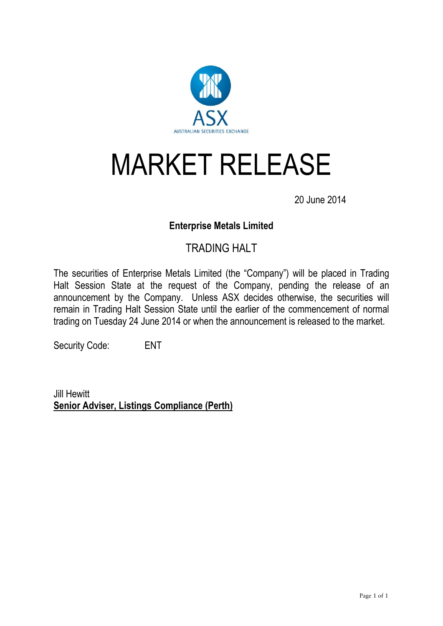

## MARKET RELEASE

20 June 2014

## **Enterprise Metals Limited**

## TRADING HALT

The securities of Enterprise Metals Limited (the "Company") will be placed in Trading Halt Session State at the request of the Company, pending the release of an announcement by the Company. Unless ASX decides otherwise, the securities will remain in Trading Halt Session State until the earlier of the commencement of normal trading on Tuesday 24 June 2014 or when the announcement is released to the market.

Security Code: ENT

Jill Hewitt **Senior Adviser, Listings Compliance (Perth)**